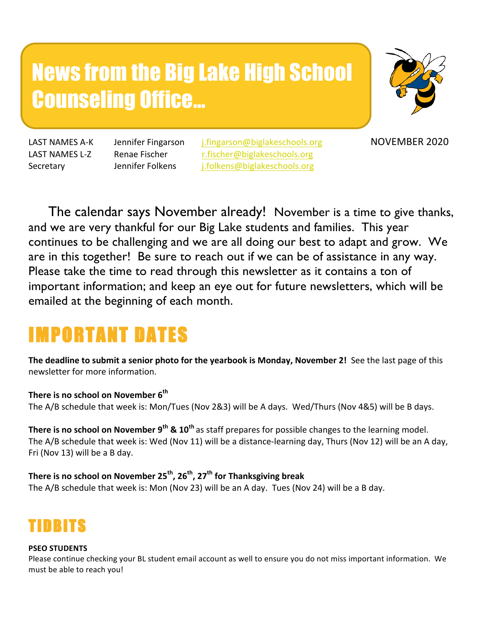# News from the Big Lake High School Counseling Office…



LAST NAMES A-K Jennifer Fingarson *i.fingarson@biglakeschools.org* NOVEMBER 2020 LAST NAMES L-Z Renae Fischer r.fischer@biglakeschools.org Secretary Jennifer Folkens i.folkens@biglakeschools.org

 The calendar says November already! November is a time to give thanks, and we are very thankful for our Big Lake students and families. This year continues to be challenging and we are all doing our best to adapt and grow. We are in this together! Be sure to reach out if we can be of assistance in any way. Please take the time to read through this newsletter as it contains a ton of important information; and keep an eye out for future newsletters, which will be emailed at the beginning of each month.

# IMPORTANT DATES

**The deadline to submit a senior photo for the yearbook is Monday, November 2!** See the last page of this newsletter for more information.

### There is no school on November 6<sup>th</sup>

The A/B schedule that week is: Mon/Tues (Nov 2&3) will be A days. Wed/Thurs (Nov 4&5) will be B days.

**There is no school on November 9<sup>th</sup> & 10<sup>th</sup> as staff prepares for possible changes to the learning model.** The A/B schedule that week is: Wed (Nov 11) will be a distance-learning day, Thurs (Nov 12) will be an A day, Fri (Nov 13) will be a B day.

### **There is no school on November 25<sup>th</sup>, 26<sup>th</sup>, 27<sup>th</sup> for Thanksgiving break**

The A/B schedule that week is: Mon (Nov 23) will be an A day. Tues (Nov 24) will be a B day.



### **PSEO STUDENTS**

Please continue checking your BL student email account as well to ensure you do not miss important information. We must be able to reach you!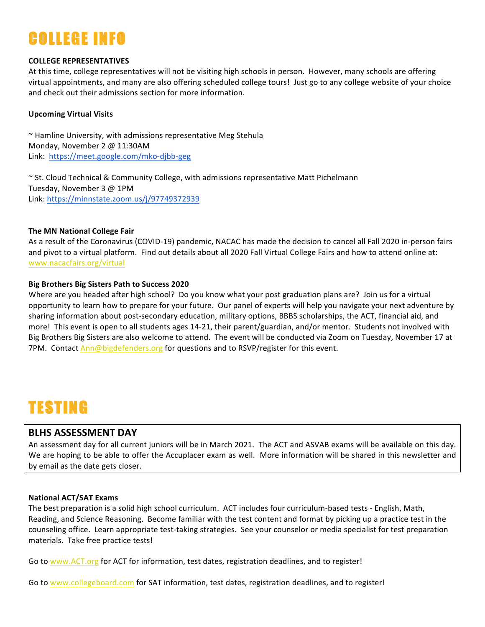# COLLEGE INFO

### **COLLEGE REPRESENTATIVES**

At this time, college representatives will not be visiting high schools in person. However, many schools are offering virtual appointments, and many are also offering scheduled college tours! Just go to any college website of your choice and check out their admissions section for more information.

### **Upcoming Virtual Visits**

 $\sim$  Hamline University, with admissions representative Meg Stehula Monday, November 2 @ 11:30AM Link: https://meet.google.com/mko-djbb-geg

~ St. Cloud Technical & Community College, with admissions representative Matt Pichelmann Tuesday, November 3 @ 1PM Link: https://minnstate.zoom.us/j/97749372939

### **The MN National College Fair**

As a result of the Coronavirus (COVID-19) pandemic, NACAC has made the decision to cancel all Fall 2020 in-person fairs and pivot to a virtual platform. Find out details about all 2020 Fall Virtual College Fairs and how to attend online at: www.nacacfairs.org/virtual

### **Big Brothers Big Sisters Path to Success 2020**

Where are you headed after high school? Do you know what your post graduation plans are? Join us for a virtual opportunity to learn how to prepare for your future. Our panel of experts will help you navigate your next adventure by sharing information about post-secondary education, military options, BBBS scholarships, the ACT, financial aid, and more! This event is open to all students ages 14-21, their parent/guardian, and/or mentor. Students not involved with Big Brothers Big Sisters are also welcome to attend. The event will be conducted via Zoom on Tuesday, November 17 at 7PM. Contact Ann@bigdefenders.org for questions and to RSVP/register for this event.

## TESTING

### **BLHS ASSESSMENT DAY**

An assessment day for all current juniors will be in March 2021. The ACT and ASVAB exams will be available on this day. We are hoping to be able to offer the Accuplacer exam as well. More information will be shared in this newsletter and by email as the date gets closer.

### **National ACT/SAT Exams**

The best preparation is a solid high school curriculum. ACT includes four curriculum-based tests - English, Math, Reading, and Science Reasoning. Become familiar with the test content and format by picking up a practice test in the counseling office. Learn appropriate test-taking strategies. See your counselor or media specialist for test preparation materials. Take free practice tests!

Go to www.ACT.org for ACT for information, test dates, registration deadlines, and to register!

Go to www.collegeboard.com for SAT information, test dates, registration deadlines, and to register!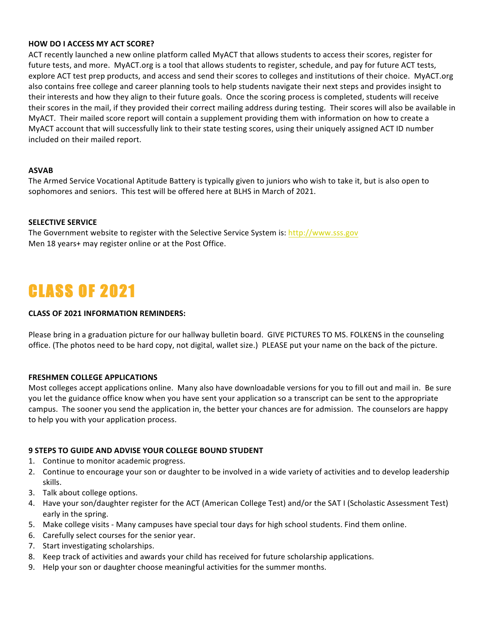### **HOW DO I ACCESS MY ACT SCORE?**

ACT recently launched a new online platform called MyACT that allows students to access their scores, register for future tests, and more. MyACT.org is a tool that allows students to register, schedule, and pay for future ACT tests, explore ACT test prep products, and access and send their scores to colleges and institutions of their choice. MyACT.org also contains free college and career planning tools to help students navigate their next steps and provides insight to their interests and how they align to their future goals. Once the scoring process is completed, students will receive their scores in the mail, if they provided their correct mailing address during testing. Their scores will also be available in MyACT. Their mailed score report will contain a supplement providing them with information on how to create a MyACT account that will successfully link to their state testing scores, using their uniquely assigned ACT ID number included on their mailed report.

### **ASVAB**

The Armed Service Vocational Aptitude Battery is typically given to juniors who wish to take it, but is also open to sophomores and seniors. This test will be offered here at BLHS in March of 2021.

### **SELECTIVE SERVICE**

The Government website to register with the Selective Service System is: http://www.sss.gov Men 18 years+ may register online or at the Post Office.

# CLASS OF 2021

### **CLASS OF 2021 INFORMATION REMINDERS:**

Please bring in a graduation picture for our hallway bulletin board. GIVE PICTURES TO MS. FOLKENS in the counseling office. (The photos need to be hard copy, not digital, wallet size.) PLEASE put your name on the back of the picture.

### **FRESHMEN COLLEGE APPLICATIONS**

Most colleges accept applications online. Many also have downloadable versions for you to fill out and mail in. Be sure you let the guidance office know when you have sent your application so a transcript can be sent to the appropriate campus. The sooner you send the application in, the better your chances are for admission. The counselors are happy to help you with your application process.

### **9 STEPS TO GUIDE AND ADVISE YOUR COLLEGE BOUND STUDENT**

- 1. Continue to monitor academic progress.
- 2. Continue to encourage your son or daughter to be involved in a wide variety of activities and to develop leadership skills.
- 3. Talk about college options.
- 4. Have your son/daughter register for the ACT (American College Test) and/or the SAT I (Scholastic Assessment Test) early in the spring.
- 5. Make college visits Many campuses have special tour days for high school students. Find them online.
- 6. Carefully select courses for the senior year.
- 7. Start investigating scholarships.
- 8. Keep track of activities and awards your child has received for future scholarship applications.
- 9. Help your son or daughter choose meaningful activities for the summer months.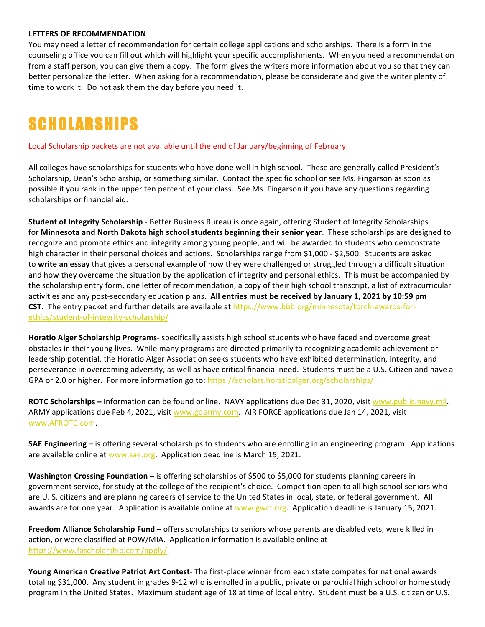### **LETTERS OF RECOMMENDATION**

You may need a letter of recommendation for certain college applications and scholarships. There is a form in the counseling office you can fill out which will highlight your specific accomplishments. When you need a recommendation from a staff person, you can give them a copy. The form gives the writers more information about you so that they can better personalize the letter. When asking for a recommendation, please be considerate and give the writer plenty of time to work it. Do not ask them the day before you need it.

# **SCHOLARSHIPS**

Local Scholarship packets are not available until the end of January/beginning of February.

All colleges have scholarships for students who have done well in high school. These are generally called President's Scholarship, Dean's Scholarship, or something similar. Contact the specific school or see Ms. Fingarson as soon as possible if you rank in the upper ten percent of your class. See Ms. Fingarson if you have any questions regarding scholarships or financial aid.

**Student of Integrity Scholarship** - Better Business Bureau is once again, offering Student of Integrity Scholarships for Minnesota and North Dakota high school students beginning their senior year. These scholarships are designed to recognize and promote ethics and integrity among young people, and will be awarded to students who demonstrate high character in their personal choices and actions. Scholarships range from \$1,000 - \$2,500. Students are asked to write an essay that gives a personal example of how they were challenged or struggled through a difficult situation and how they overcame the situation by the application of integrity and personal ethics. This must be accompanied by the scholarship entry form, one letter of recommendation, a copy of their high school transcript, a list of extracurricular activities and any post-secondary education plans. All entries must be received by January 1, 2021 by 10:59 pm **CST.** The entry packet and further details are available at https://www.bbb.org/minnesota/torch-awards-forethics/student-of-integrity-scholarship/

**Horatio Alger Scholarship Programs**- specifically assists high school students who have faced and overcome great obstacles in their young lives. While many programs are directed primarily to recognizing academic achievement or leadership potential, the Horatio Alger Association seeks students who have exhibited determination, integrity, and perseverance in overcoming adversity, as well as have critical financial need. Students must be a U.S. Citizen and have a GPA or 2.0 or higher. For more information go to: https://scholars.horatioalger.org/scholarships/

**ROTC** Scholarships – Information can be found online. NAVY applications due Dec 31, 2020, visit www.public.navy.mil. ARMY applications due Feb 4, 2021, visit www.goarmy.com. AIR FORCE applications due Jan 14, 2021, visit www.AFROTC.com. 

**SAE Engineering** – is offering several scholarships to students who are enrolling in an engineering program. Applications are available online at www.sae.org. Application deadline is March 15, 2021.

**Washington Crossing Foundation** – is offering scholarships of \$500 to \$5,000 for students planning careers in government service, for study at the college of the recipient's choice. Competition open to all high school seniors who are U. S. citizens and are planning careers of service to the United States in local, state, or federal government. All awards are for one year. Application is available online at www.gwcf.org. Application deadline is January 15, 2021.

**Freedom Alliance Scholarship Fund** – offers scholarships to seniors whose parents are disabled vets, were killed in action, or were classified at POW/MIA. Application information is available online at https://www.fascholarship.com/apply/. 

**Young American Creative Patriot Art Contest**- The first-place winner from each state competes for national awards totaling \$31,000. Any student in grades 9-12 who is enrolled in a public, private or parochial high school or home study program in the United States. Maximum student age of 18 at time of local entry. Student must be a U.S. citizen or U.S.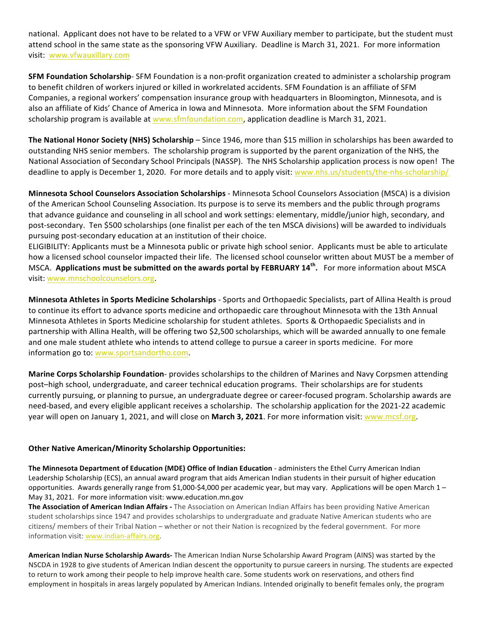national. Applicant does not have to be related to a VFW or VFW Auxiliary member to participate, but the student must attend school in the same state as the sponsoring VFW Auxiliary. Deadline is March 31, 2021. For more information visit: www.vfwauxillary.com

**SFM Foundation Scholarship**- SFM Foundation is a non-profit organization created to administer a scholarship program to benefit children of workers injured or killed in workrelated accidents. SFM Foundation is an affiliate of SFM Companies, a regional workers' compensation insurance group with headquarters in Bloomington, Minnesota, and is also an affiliate of Kids' Chance of America in Iowa and Minnesota. More information about the SFM Foundation scholarship program is available at www.sfmfoundation.com, application deadline is March 31, 2021.

**The National Honor Society (NHS) Scholarship** – Since 1946, more than \$15 million in scholarships has been awarded to outstanding NHS senior members. The scholarship program is supported by the parent organization of the NHS, the National Association of Secondary School Principals (NASSP). The NHS Scholarship application process is now open! The deadline to apply is December 1, 2020. For more details and to apply visit: www.nhs.us/students/the-nhs-scholarship/

**Minnesota School Counselors Association Scholarships** - Minnesota School Counselors Association (MSCA) is a division of the American School Counseling Association. Its purpose is to serve its members and the public through programs that advance guidance and counseling in all school and work settings: elementary, middle/junior high, secondary, and post-secondary. Ten \$500 scholarships (one finalist per each of the ten MSCA divisions) will be awarded to individuals pursuing post-secondary education at an institution of their choice.

ELIGIBILITY: Applicants must be a Minnesota public or private high school senior. Applicants must be able to articulate how a licensed school counselor impacted their life. The licensed school counselor written about MUST be a member of MSCA. Applications must be submitted on the awards portal by FEBRUARY 14<sup>th</sup>. For more information about MSCA visit: www.mnschoolcounselors.org.

**Minnesota Athletes in Sports Medicine Scholarships** - Sports and Orthopaedic Specialists, part of Allina Health is proud to continue its effort to advance sports medicine and orthopaedic care throughout Minnesota with the 13th Annual Minnesota Athletes in Sports Medicine scholarship for student athletes. Sports & Orthopaedic Specialists and in partnership with Allina Health, will be offering two \$2,500 scholarships, which will be awarded annually to one female and one male student athlete who intends to attend college to pursue a career in sports medicine. For more information go to: www.sportsandortho.com.

**Marine Corps Scholarship Foundation**- provides scholarships to the children of Marines and Navy Corpsmen attending post-high school, undergraduate, and career technical education programs. Their scholarships are for students currently pursuing, or planning to pursue, an undergraduate degree or career-focused program. Scholarship awards are need-based, and every eligible applicant receives a scholarship. The scholarship application for the 2021-22 academic year will open on January 1, 2021, and will close on March 3, 2021. For more information visit: www.mcsf.org.

### **Other Native American/Minority Scholarship Opportunities:**

The Minnesota Department of Education (MDE) Office of Indian Education - administers the Ethel Curry American Indian Leadership Scholarship (ECS), an annual award program that aids American Indian students in their pursuit of higher education opportunities. Awards generally range from \$1,000-\$4,000 per academic year, but may vary. Applications will be open March  $1-$ May 31, 2021. For more information visit: www.education.mn.gov

**The Association of American Indian Affairs** - The Association on American Indian Affairs has been providing Native American student scholarships since 1947 and provides scholarships to undergraduate and graduate Native American students who are citizens/ members of their Tribal Nation – whether or not their Nation is recognized by the federal government. For more information visit: www.indian-affairs.org.

**American Indian Nurse Scholarship Awards-** The American Indian Nurse Scholarship Award Program (AINS) was started by the NSCDA in 1928 to give students of American Indian descent the opportunity to pursue careers in nursing. The students are expected to return to work among their people to help improve health care. Some students work on reservations, and others find employment in hospitals in areas largely populated by American Indians. Intended originally to benefit females only, the program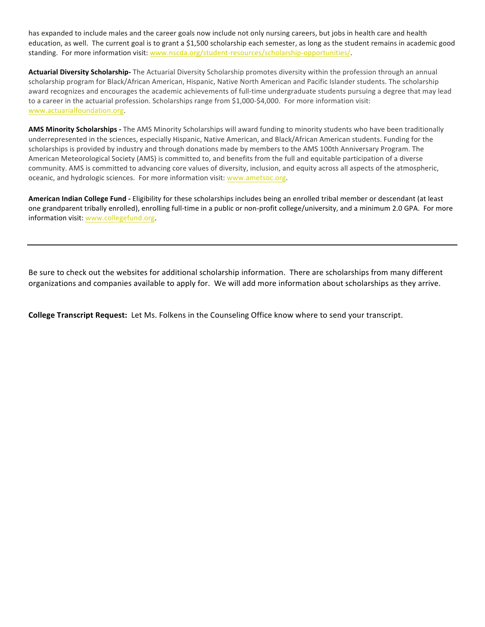has expanded to include males and the career goals now include not only nursing careers, but jobs in health care and health education, as well. The current goal is to grant a \$1,500 scholarship each semester, as long as the student remains in academic good standing. For more information visit: www.nscda.org/student-resources/scholarship-opportunities/.

Actuarial Diversity Scholarship- The Actuarial Diversity Scholarship promotes diversity within the profession through an annual scholarship program for Black/African American, Hispanic, Native North American and Pacific Islander students. The scholarship award recognizes and encourages the academic achievements of full-time undergraduate students pursuing a degree that may lead to a career in the actuarial profession. Scholarships range from \$1,000-\$4,000. For more information visit: www.actuarialfoundation.org.

AMS Minority Scholarships - The AMS Minority Scholarships will award funding to minority students who have been traditionally underrepresented in the sciences, especially Hispanic, Native American, and Black/African American students. Funding for the scholarships is provided by industry and through donations made by members to the AMS 100th Anniversary Program. The American Meteorological Society (AMS) is committed to, and benefits from the full and equitable participation of a diverse community. AMS is committed to advancing core values of diversity, inclusion, and equity across all aspects of the atmospheric, oceanic, and hydrologic sciences. For more information visit: www.ametsoc.org.

American Indian College Fund - Eligibility for these scholarships includes being an enrolled tribal member or descendant (at least one grandparent tribally enrolled), enrolling full-time in a public or non-profit college/university, and a minimum 2.0 GPA. For more information visit: www.collegefund.org.

Be sure to check out the websites for additional scholarship information. There are scholarships from many different organizations and companies available to apply for. We will add more information about scholarships as they arrive.

**College Transcript Request:** Let Ms. Folkens in the Counseling Office know where to send your transcript.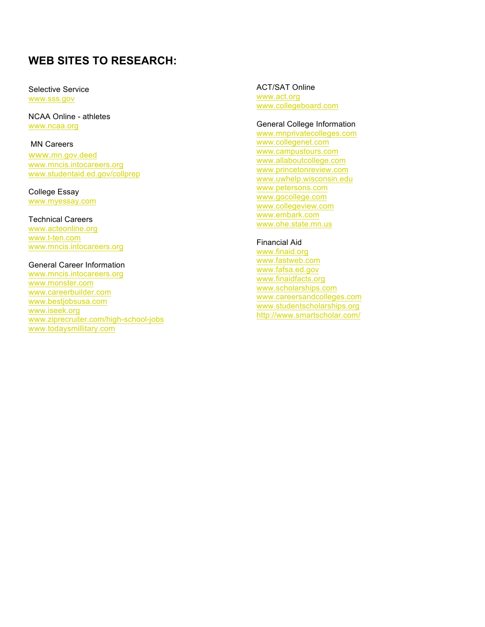### **WEB SITES TO RESEARCH:**

Selective Service www.sss.gov

NCAA Online - athletes www.ncaa.org

#### MN Careers

www.mn.gov.deed www.mncis.intocareers.org www.studentaid.ed.gov/collprep

College Essay www.myessay.com

#### Technical Careers

www.acteonline.org www.t -ten.com www.mncis.intocareers.org

### General Career Information

www.mncis.intocareers.org www.monster.com www.careerbuilder.com www.bestjobsusa.com www.iseek.org www.ziprecruiter.com/high -school -jobs www.todaysmillitary.com

ACT/SAT Online www.act.org www.collegeboard.com

### General College Information

www.mnprivatecolleges.com www.collegenet.com www.campustours.com www.allaboutcollege.com www.princetonreview.com www.uwhelp.wisconsin.edu www.petersons.com www.gocollege.com www.collegeview.com www.embark.com www.ohe.state.mn.us

### Financial Aid

www.finaid.org www.fastweb.com www.fafsa.ed.gov www.finaidfacts.org www.scholarships.com www.careersandcolleges.com www.studentscholarships.org http://www.smartscholar.com/